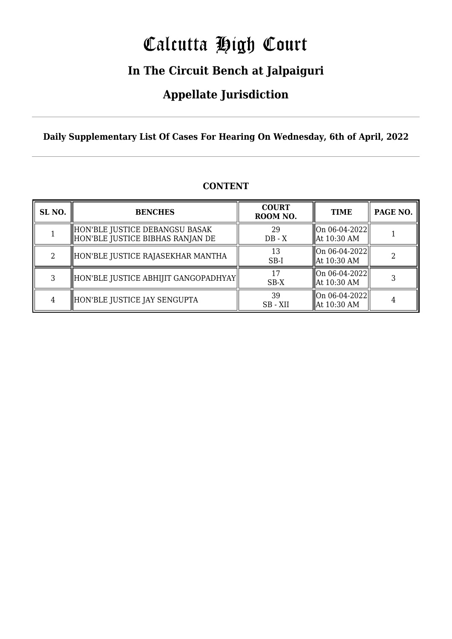# Calcutta High Court

### **In The Circuit Bench at Jalpaiguri**

### **Appellate Jurisdiction**

**Daily Supplementary List Of Cases For Hearing On Wednesday, 6th of April, 2022**

| SL <sub>NO.</sub> | <b>BENCHES</b>                                                       | <b>COURT</b><br>ROOM NO. | <b>TIME</b>                      | PAGE NO. |
|-------------------|----------------------------------------------------------------------|--------------------------|----------------------------------|----------|
|                   | HON'BLE JUSTICE DEBANGSU BASAK<br>  HON'BLE JUSTICE BIBHAS RANJAN DE | 29<br>$DB - X$           | On 06-04-2022  <br>  At 10:30 AM |          |
| 2                 | HON'BLE JUSTICE RAJASEKHAR MANTHA                                    | 13<br>$SB-I$             | On 06-04-2022  <br>  At 10:30 AM |          |
| 3                 | HON'BLE JUSTICE ABHIJIT GANGOPADHYAY                                 | 17<br>$SB-X$             | On 06-04-2022  <br>  At 10:30 AM |          |
|                   | HON'BLE JUSTICE JAY SENGUPTA                                         | 39<br>SB - XII           | On 06-04-2022  <br>At 10:30 AM   |          |

### **CONTENT**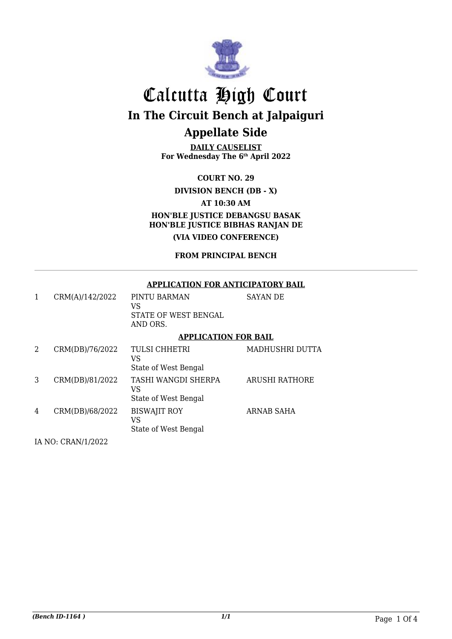

**DAILY CAUSELIST For Wednesday The 6th April 2022**

**COURT NO. 29**

### **DIVISION BENCH (DB - X)**

**AT 10:30 AM**

**HON'BLE JUSTICE DEBANGSU BASAK HON'BLE JUSTICE BIBHAS RANJAN DE (VIA VIDEO CONFERENCE)**

**FROM PRINCIPAL BENCH**

#### **APPLICATION FOR ANTICIPATORY BAIL**

| 1 | CRM(A)/142/2022 | PINTU BARMAN<br>VS<br>STATE OF WEST BENGAL<br>AND ORS. | <b>SAYAN DE</b>       |
|---|-----------------|--------------------------------------------------------|-----------------------|
|   |                 | <b>APPLICATION FOR BAIL</b>                            |                       |
| 2 | CRM(DB)/76/2022 | TULSI CHHETRI<br>VS<br>State of West Bengal            | MADHUSHRI DUTTA       |
| 3 | CRM(DB)/81/2022 | TASHI WANGDI SHERPA<br>VS<br>State of West Bengal      | <b>ARUSHI RATHORE</b> |
| 4 | CRM(DB)/68/2022 | <b>BISWAJIT ROY</b><br>VS<br>State of West Bengal      | ARNAB SAHA            |

IA NO: CRAN/1/2022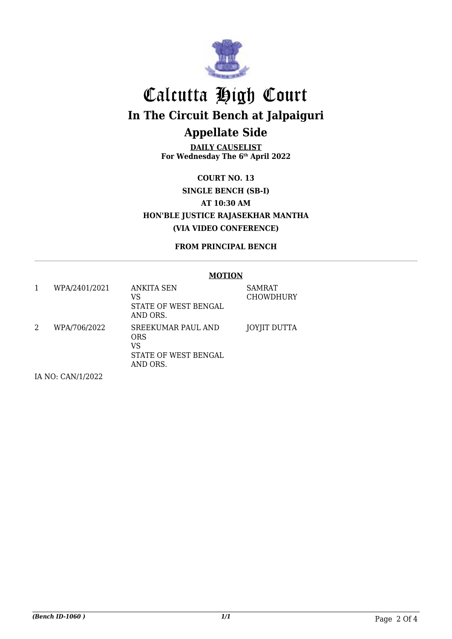

**DAILY CAUSELIST For Wednesday The 6th April 2022**

**COURT NO. 13 SINGLE BENCH (SB-I) AT 10:30 AM HON'BLE JUSTICE RAJASEKHAR MANTHA (VIA VIDEO CONFERENCE)**

**FROM PRINCIPAL BENCH**

#### **MOTION**

|   | WPA/2401/2021     | ANKITA SEN<br>VS<br>STATE OF WEST BENGAL<br>AND ORS.                       | SAMRAT<br><b>CHOWDHURY</b> |
|---|-------------------|----------------------------------------------------------------------------|----------------------------|
| 2 | WPA/706/2022      | <b>SREEKUMAR PAUL AND</b><br>ORS<br>VS<br>STATE OF WEST BENGAL<br>AND ORS. | JOYJIT DUTTA               |
|   | IA NO: CAN/1/2022 |                                                                            |                            |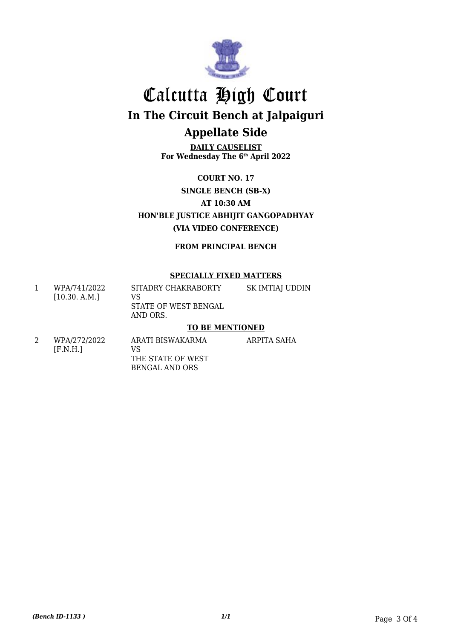

**DAILY CAUSELIST For Wednesday The 6th April 2022**

**COURT NO. 17 SINGLE BENCH (SB-X) AT 10:30 AM HON'BLE JUSTICE ABHIJIT GANGOPADHYAY (VIA VIDEO CONFERENCE)**

**FROM PRINCIPAL BENCH**

### **SPECIALLY FIXED MATTERS**

| WPA/741/2022<br>[10.30, A.M.] | SITADRY CHAKRABORTY<br>VS.<br>STATE OF WEST BENGAL<br>AND ORS. | SK IMTIAJ UDDIN |
|-------------------------------|----------------------------------------------------------------|-----------------|
|                               |                                                                |                 |

### **TO BE MENTIONED**

ARPITA SAHA

2 WPA/272/2022 [F.N.H.] ARATI BISWAKARMA VS THE STATE OF WEST BENGAL AND ORS